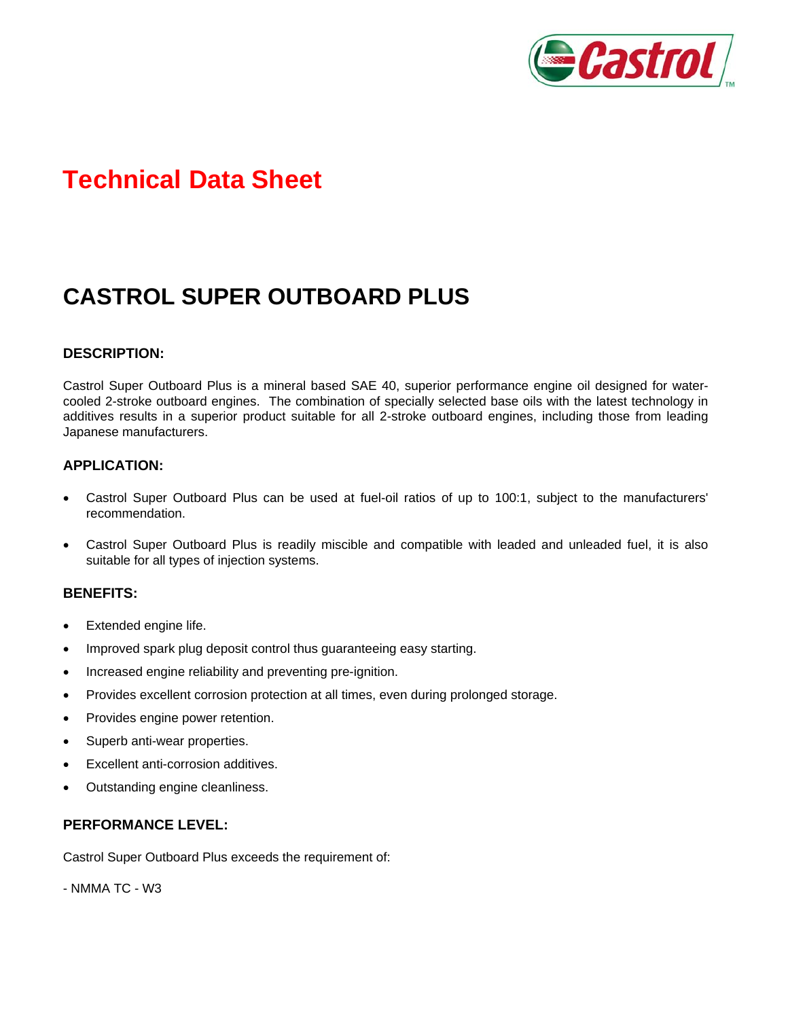

# **Technical Data Sheet**

## **CASTROL SUPER OUTBOARD PLUS**

#### **DESCRIPTION:**

Castrol Super Outboard Plus is a mineral based SAE 40, superior performance engine oil designed for watercooled 2-stroke outboard engines. The combination of specially selected base oils with the latest technology in additives results in a superior product suitable for all 2-stroke outboard engines, including those from leading Japanese manufacturers.

#### **APPLICATION:**

- Castrol Super Outboard Plus can be used at fuel-oil ratios of up to 100:1, subject to the manufacturers' recommendation.
- Castrol Super Outboard Plus is readily miscible and compatible with leaded and unleaded fuel, it is also suitable for all types of injection systems.

#### **BENEFITS:**

- Extended engine life.
- Improved spark plug deposit control thus guaranteeing easy starting.
- Increased engine reliability and preventing pre-ignition.
- Provides excellent corrosion protection at all times, even during prolonged storage.
- Provides engine power retention.
- Superb anti-wear properties.
- Excellent anti-corrosion additives.
- Outstanding engine cleanliness.

#### **PERFORMANCE LEVEL:**

Castrol Super Outboard Plus exceeds the requirement of:

- NMMA TC - W3